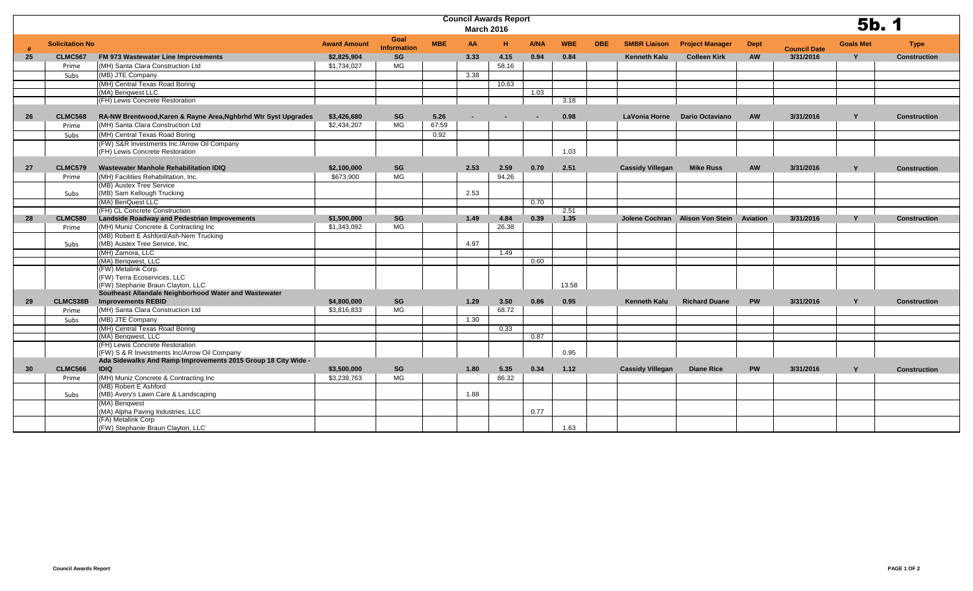|    |                        | <b>Council Awards Report</b><br><b>March 2016</b>                                  |                     |                            |            |                |        |                          |            |            |                         |                                 |                 |                     | 5b. 1            |                     |
|----|------------------------|------------------------------------------------------------------------------------|---------------------|----------------------------|------------|----------------|--------|--------------------------|------------|------------|-------------------------|---------------------------------|-----------------|---------------------|------------------|---------------------|
|    | <b>Solicitation No</b> |                                                                                    | <b>Award Amount</b> | Goal<br><b>Information</b> | <b>MBE</b> | AA             | н      | <b>A/NA</b>              | <b>WBE</b> | <b>DBE</b> | <b>SMBR Liaison</b>     | <b>Project Manager</b>          | <b>Dept</b>     | <b>Council Date</b> | <b>Goals Met</b> | <b>Type</b>         |
| 25 | <b>CLMC567</b>         | FM 973 Wastewater Line Improvements                                                | \$2,825,904         | SG                         |            | 3.33           | 4.15   | 0.94                     | 0.84       |            | <b>Kenneth Kalu</b>     | <b>Colleen Kirk</b>             | <b>AW</b>       | 3/31/2016           | $\mathbf{v}$     | <b>Construction</b> |
|    | Prime                  | (MH) Santa Clara Construction Ltd                                                  | \$1,734,027         | MG                         |            |                | 58.16  |                          |            |            |                         |                                 |                 |                     |                  |                     |
|    | Subs                   | (MB) JTE Company                                                                   |                     |                            |            | 3.38           |        |                          |            |            |                         |                                 |                 |                     |                  |                     |
|    |                        | (MH) Central Texas Road Boring                                                     |                     |                            |            |                | 10.63  |                          |            |            |                         |                                 |                 |                     |                  |                     |
|    |                        | (MA) Bengwest LLC                                                                  |                     |                            |            |                |        | 1.03                     |            |            |                         |                                 |                 |                     |                  |                     |
|    |                        | (FH) Lewis Concrete Restoration                                                    |                     |                            |            |                |        |                          | 3.18       |            |                         |                                 |                 |                     |                  |                     |
|    |                        |                                                                                    |                     |                            |            |                |        |                          |            |            |                         |                                 |                 |                     |                  |                     |
| 26 | <b>CLMC568</b>         | RA-NW Brentwood, Karen & Rayne Area, Nghbrhd Wtr Syst Upgrades                     | \$3,426,680         | SG                         | 5.26       | $\blacksquare$ | $\sim$ | $\overline{\phantom{a}}$ | 0.98       |            |                         | LaVonia Horne Dario Octaviano   | <b>AW</b>       | 3/31/2016           | Y                | <b>Construction</b> |
|    | Prime                  | (MH) Santa Clara Construction Ltd                                                  | \$2,434,207         | MG                         | 67.59      |                |        |                          |            |            |                         |                                 |                 |                     |                  |                     |
|    | Subs                   | (MH) Central Texas Road Boring                                                     |                     |                            | 0.92       |                |        |                          |            |            |                         |                                 |                 |                     |                  |                     |
|    |                        | (FW) S&R Investments Inc./Arrow Oil Company<br>(FH) Lewis Concrete Restoration     |                     |                            |            |                |        |                          | 1.03       |            |                         |                                 |                 |                     |                  |                     |
| 27 | <b>CLMC579</b>         | Wastewater Manhole Rehabilitation IDIQ                                             | \$2,100,000         | SG                         |            | 2.53           | 2.59   | 0.70                     | 2.51       |            | <b>Cassidy Villegan</b> | <b>Mike Russ</b>                | <b>AW</b>       | 3/31/2016           | Y                | <b>Construction</b> |
|    | Prime                  | (MH) Facilities Rehabilitation, Inc.                                               | \$673,900           | <b>MG</b>                  |            |                | 94.26  |                          |            |            |                         |                                 |                 |                     |                  |                     |
|    |                        | (MB) Austex Tree Service                                                           |                     |                            |            |                |        |                          |            |            |                         |                                 |                 |                     |                  |                     |
|    | Subs                   | (MB) Sam Kellough Trucking                                                         |                     |                            |            | 2.53           |        |                          |            |            |                         |                                 |                 |                     |                  |                     |
|    |                        | (MA) BenQuest LLC                                                                  |                     |                            |            |                |        | 0.70                     |            |            |                         |                                 |                 |                     |                  |                     |
|    |                        | (FH) CL Concrete Construction                                                      |                     |                            |            |                |        |                          | 2.51       |            |                         |                                 |                 |                     |                  |                     |
| 28 | <b>CLMC580</b>         | <b>Landside Roadway and Pedestrian Improvements</b>                                | \$1,500,000         | <b>SG</b>                  |            | 1.49           | 4.84   | 0.39                     | 1.35       |            |                         | Jolene Cochran Alison Von Stein | <b>Aviation</b> | 3/31/2016           | Y                | <b>Construction</b> |
|    | Prime                  | (MH) Muniz Concrete & Contracting Inc                                              | \$1,343,092         | MG                         |            |                | 26.38  |                          |            |            |                         |                                 |                 |                     |                  |                     |
|    |                        | (MB) Robert E Ashford/Ash-Nem Trucking                                             |                     |                            |            |                |        |                          |            |            |                         |                                 |                 |                     |                  |                     |
|    | Subs                   | (MB) Austex Tree Service, Inc.                                                     |                     |                            |            | 4.97           |        |                          |            |            |                         |                                 |                 |                     |                  |                     |
|    |                        | (MH) Zamora, LLC                                                                   |                     |                            |            |                | 1.49   |                          |            |            |                         |                                 |                 |                     |                  |                     |
|    |                        | (MA) Bengwest, LLC                                                                 |                     |                            |            |                |        | 0.60                     |            |            |                         |                                 |                 |                     |                  |                     |
|    |                        | (FW) Metalink Corp.                                                                |                     |                            |            |                |        |                          |            |            |                         |                                 |                 |                     |                  |                     |
|    |                        | (FW) Terra Ecoservices, LLC                                                        |                     |                            |            |                |        |                          |            |            |                         |                                 |                 |                     |                  |                     |
|    |                        | (FW) Stephanie Braun Clayton, LLC                                                  |                     |                            |            |                |        |                          | 13.58      |            |                         |                                 |                 |                     |                  |                     |
| 29 | CLMC538B               | Southeast Allandale Neighborhood Water and Wastewater<br><b>Improvements REBID</b> | \$4,800,000         | <b>SG</b>                  |            | 1.29           | 3.50   | 0.86                     | 0.95       |            | <b>Kenneth Kalu</b>     | <b>Richard Duane</b>            | <b>PW</b>       | 3/31/2016           | Y                |                     |
|    |                        | (MH) Santa Clara Construction Ltd                                                  |                     | MG                         |            |                |        |                          |            |            |                         |                                 |                 |                     |                  | <b>Construction</b> |
|    | Prime                  |                                                                                    | \$3,816,833         |                            |            |                | 68.72  |                          |            |            |                         |                                 |                 |                     |                  |                     |
|    | Subs                   | (MB) JTE Company                                                                   |                     |                            |            | 1.30           |        |                          |            |            |                         |                                 |                 |                     |                  |                     |
|    |                        | (MH) Central Texas Road Boring                                                     |                     |                            |            |                | 0.33   |                          |            |            |                         |                                 |                 |                     |                  |                     |
|    |                        | (MA) Benqwest, LLC<br>(FH) Lewis Concrete Restoration                              |                     |                            |            |                |        | 0.87                     |            |            |                         |                                 |                 |                     |                  |                     |
|    |                        | (FW) S & R Investments Inc/Arrow Oil Company                                       |                     |                            |            |                |        |                          | 0.95       |            |                         |                                 |                 |                     |                  |                     |
|    |                        | Ada Sidewalks And Ramp Improvements 2015 Group 18 City Wide -                      |                     |                            |            |                |        |                          |            |            |                         |                                 |                 |                     |                  |                     |
| 30 | <b>CLMC566</b>         | <b>IDIQ</b>                                                                        | \$3,500,000         | SG                         |            | 1.80           | 5.35   | 0.34                     | 1.12       |            | <b>Cassidy Villegan</b> | <b>Diane Rice</b>               | <b>PW</b>       | 3/31/2016           | Y                | <b>Construction</b> |
|    | Prime                  | (MH) Muniz Concrete & Contracting Inc                                              | \$3,239,763         | MG                         |            |                | 86.32  |                          |            |            |                         |                                 |                 |                     |                  |                     |
|    |                        | (MB) Robert E Ashford                                                              |                     |                            |            |                |        |                          |            |            |                         |                                 |                 |                     |                  |                     |
|    | Subs                   | (MB) Avery's Lawn Care & Landscaping                                               |                     |                            |            | 1.88           |        |                          |            |            |                         |                                 |                 |                     |                  |                     |
|    |                        | (MA) Bengwest                                                                      |                     |                            |            |                |        |                          |            |            |                         |                                 |                 |                     |                  |                     |
|    |                        | (MA) Alpha Paving Industries, LLC<br>(FA) Metalink Corp                            |                     |                            |            |                |        | 0.77                     |            |            |                         |                                 |                 |                     |                  |                     |
|    |                        | (FW) Stephanie Braun Clayton, LLC                                                  |                     |                            |            |                |        |                          | 1.63       |            |                         |                                 |                 |                     |                  |                     |
|    |                        |                                                                                    |                     |                            |            |                |        |                          |            |            |                         |                                 |                 |                     |                  |                     |